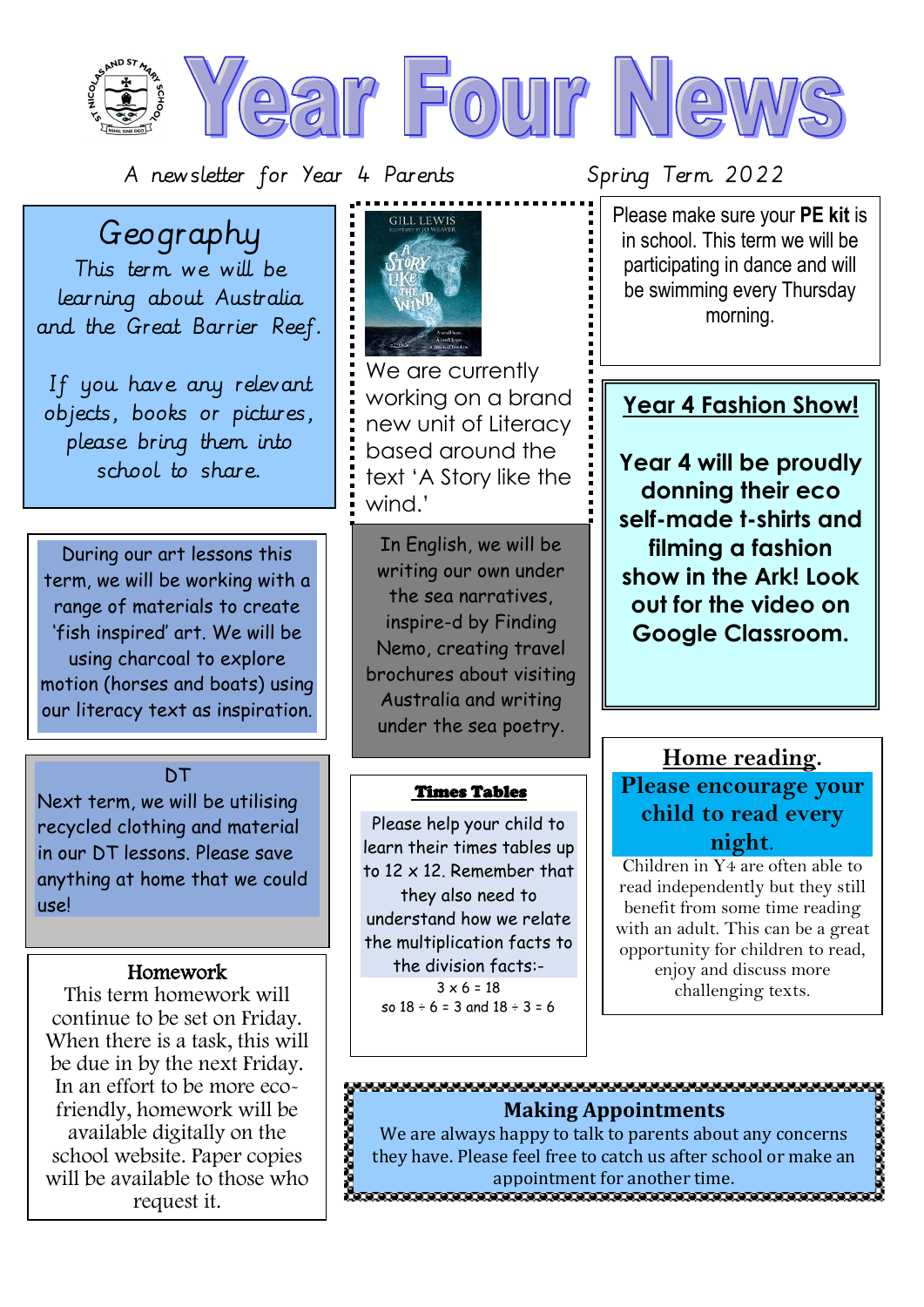---------------------- $CIII$  I FWIS Geography This term we will be learning about Australia and the Great Barrier Reef. We are currently If you have any relevant working on a brand objects, books or pictures, new unit of Literacy please bring them into based around the school to share. text 'A Story like the wind.' In English, we will be During our art lessons this writing our own under term, we will be working with a the sea narratives, range of materials to create inspire-d by Finding 'fish inspired' art. We will be Nemo, creating travel using charcoal to explore brochures about visiting motion (horses and boats) using Australia and writing our literacy text as inspiration. under the sea poetry.

### **DT**

Next term, we will be utilising recycled clothing and material in our DT lessons. Please save anything at home that we could use!

### Homework

This term homework will continue to be set on Friday. When there is a task, this will be due in by the next Friday. In an effort to be more ecofriendly, homework will be available digitally on the school website. Paper copies will be available to those who request it.

### Times Tables

Please help your child to learn their times tables up to 12 x 12. Remember that they also need to understand how we relate the multiplication facts to the division facts:-  $3 \times 6 = 18$ so  $18 \div 6 = 3$  and  $18 \div 3 = 6$ 

0000000000

 Please make sure your **PE kit** is in school. This term we will be participating in dance and will be swimming every Thursday morning.

### **Year 4 Fashion Show!**

**Year 4 will be proudly donning their eco self-made t-shirts and filming a fashion show in the Ark! Look out for the video on Google Classroom.**

### **Home reading.**

**Please encourage your child to read every night**.

Children in Y4 are often able to read independently but they still benefit from some time reading with an adult. This can be a great opportunity for children to read, enjoy and discuss more challenging texts.

### **Making Appointments**

We are always happy to talk to parents about any concerns they have. Please feel free to catch us after school or make an appointment for another time.<br>ההתמשה התמשה התמשה התמשה המשתמשה המשתמשה ה

## $\frac{1}{2}$

A newsletter for Year 4 Parents Spring Term 2022